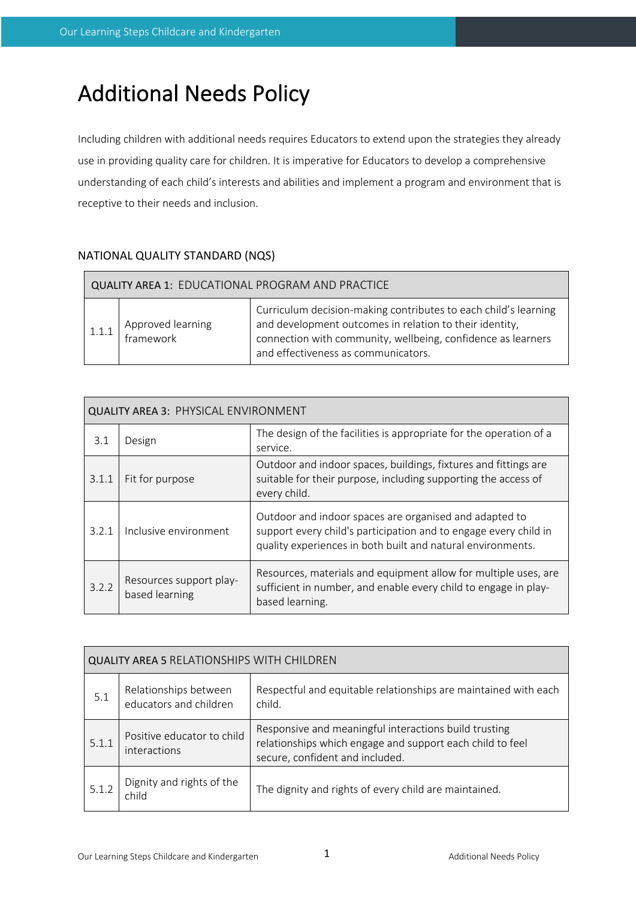# Additional Needs Policy

Including children with additional needs requires Educators to extend upon the strategies they already use in providing quality care for children. It is imperative for Educators to develop a comprehensive understanding of each child's interests and abilities and implement a program and environment that is receptive to their needs and inclusion.

# NATIONAL QUALITY STANDARD (NQS)

| <b>QUALITY AREA 1: EDUCATIONAL PROGRAM AND PRACTICE</b> |                                |                                                                                                                                                                                                                                   |  |
|---------------------------------------------------------|--------------------------------|-----------------------------------------------------------------------------------------------------------------------------------------------------------------------------------------------------------------------------------|--|
|                                                         | Approved learning<br>framework | Curriculum decision-making contributes to each child's learning<br>and development outcomes in relation to their identity,<br>connection with community, wellbeing, confidence as learners<br>and effectiveness as communicators. |  |

| <b>QUALITY AREA 3: PHYSICAL ENVIRONMENT</b> |                                           |                                                                                                                                                                                           |
|---------------------------------------------|-------------------------------------------|-------------------------------------------------------------------------------------------------------------------------------------------------------------------------------------------|
| 3.1                                         | Design                                    | The design of the facilities is appropriate for the operation of a<br>service.                                                                                                            |
| 3.1.1                                       | Fit for purpose                           | Outdoor and indoor spaces, buildings, fixtures and fittings are<br>suitable for their purpose, including supporting the access of<br>every child.                                         |
| 3.2.1                                       | Inclusive environment                     | Outdoor and indoor spaces are organised and adapted to<br>support every child's participation and to engage every child in<br>quality experiences in both built and natural environments. |
| 3.2.2                                       | Resources support play-<br>based learning | Resources, materials and equipment allow for multiple uses, are<br>sufficient in number, and enable every child to engage in play-<br>based learning.                                     |

| <b>QUALITY AREA 5 RELATIONSHIPS WITH CHILDREN</b> |                                                 |                                                                                                                                                       |
|---------------------------------------------------|-------------------------------------------------|-------------------------------------------------------------------------------------------------------------------------------------------------------|
| 5.1                                               | Relationships between<br>educators and children | Respectful and equitable relationships are maintained with each<br>child.                                                                             |
| 5.1.1                                             | Positive educator to child<br>interactions      | Responsive and meaningful interactions build trusting<br>relationships which engage and support each child to feel<br>secure, confident and included. |
|                                                   | Dignity and rights of the<br>child              | The dignity and rights of every child are maintained.                                                                                                 |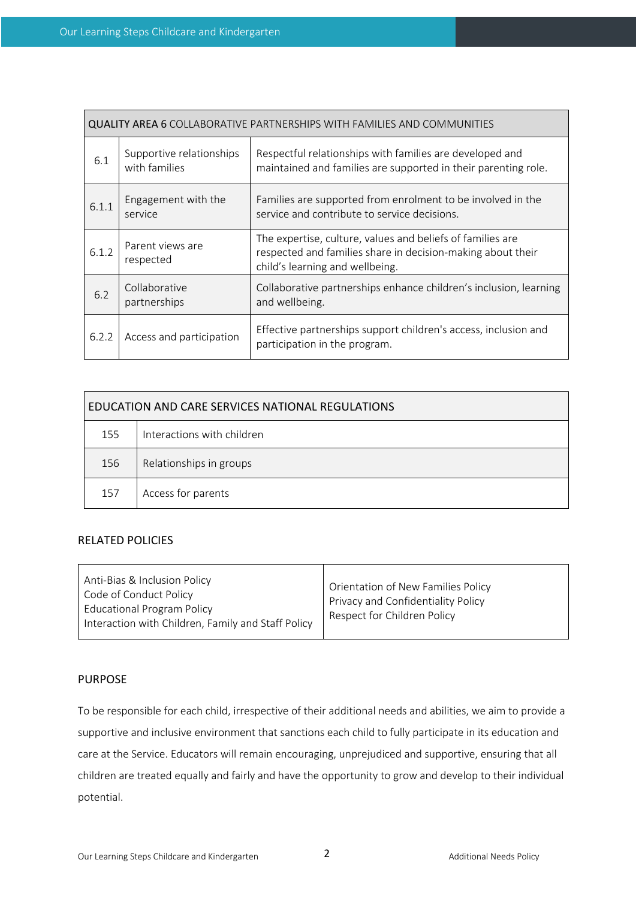| <b>QUALITY AREA 6 COLLABORATIVE PARTNERSHIPS WITH FAMILIES AND COMMUNITIES</b> |                                           |                                                                                                                                                              |
|--------------------------------------------------------------------------------|-------------------------------------------|--------------------------------------------------------------------------------------------------------------------------------------------------------------|
| 6.1                                                                            | Supportive relationships<br>with families | Respectful relationships with families are developed and<br>maintained and families are supported in their parenting role.                                   |
| 6.1.1                                                                          | Engagement with the<br>service            | Families are supported from enrolment to be involved in the<br>service and contribute to service decisions.                                                  |
| 6.1.2                                                                          | Parent views are<br>respected             | The expertise, culture, values and beliefs of families are<br>respected and families share in decision-making about their<br>child's learning and wellbeing. |
| 6.2                                                                            | Collaborative<br>partnerships             | Collaborative partnerships enhance children's inclusion, learning<br>and wellbeing.                                                                          |
| 6.2.2                                                                          | Access and participation                  | Effective partnerships support children's access, inclusion and<br>participation in the program.                                                             |

| EDUCATION AND CARE SERVICES NATIONAL REGULATIONS |                            |  |
|--------------------------------------------------|----------------------------|--|
| 155                                              | Interactions with children |  |
| 156                                              | Relationships in groups    |  |
| 157                                              | Access for parents         |  |

# RELATED POLICIES

| Anti-Bias & Inclusion Policy<br>Code of Conduct Policy<br><b>Educational Program Policy</b><br>Interaction with Children, Family and Staff Policy | Orientation of New Families Policy<br>Privacy and Confidentiality Policy<br>Respect for Children Policy |
|---------------------------------------------------------------------------------------------------------------------------------------------------|---------------------------------------------------------------------------------------------------------|
|---------------------------------------------------------------------------------------------------------------------------------------------------|---------------------------------------------------------------------------------------------------------|

### PURPOSE

To be responsible for each child, irrespective of their additional needs and abilities, we aim to provide a supportive and inclusive environment that sanctions each child to fully participate in its education and care at the Service. Educators will remain encouraging, unprejudiced and supportive, ensuring that all children are treated equally and fairly and have the opportunity to grow and develop to their individual potential.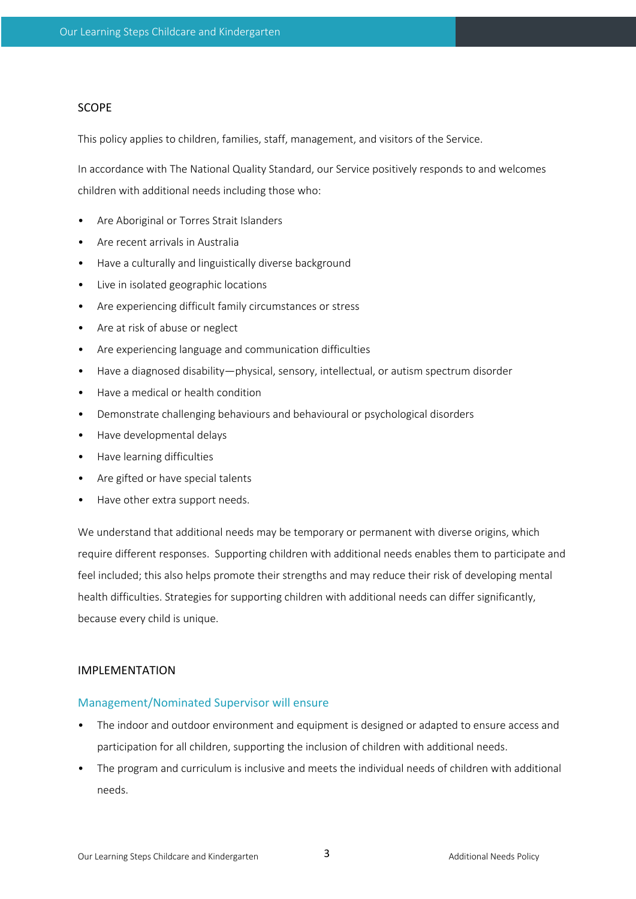#### SCOPE

This policy applies to children, families, staff, management, and visitors of the Service.

In accordance with The National Quality Standard, our Service positively responds to and welcomes children with additional needs including those who:

- Are Aboriginal or Torres Strait Islanders
- Are recent arrivals in Australia
- Have a culturally and linguistically diverse background
- Live in isolated geographic locations
- Are experiencing difficult family circumstances or stress
- Are at risk of abuse or neglect
- Are experiencing language and communication difficulties
- Have a diagnosed disability—physical, sensory, intellectual, or autism spectrum disorder
- Have a medical or health condition
- Demonstrate challenging behaviours and behavioural or psychological disorders
- Have developmental delays
- Have learning difficulties
- Are gifted or have special talents
- Have other extra support needs.

We understand that additional needs may be temporary or permanent with diverse origins, which require different responses. Supporting children with additional needs enables them to participate and feel included; this also helps promote their strengths and may reduce their risk of developing mental health difficulties. Strategies for supporting children with additional needs can differ significantly, because every child is unique.

## IMPLEMENTATION

#### Management/Nominated Supervisor will ensure

- The indoor and outdoor environment and equipment is designed or adapted to ensure access and participation for all children, supporting the inclusion of children with additional needs.
- The program and curriculum is inclusive and meets the individual needs of children with additional needs.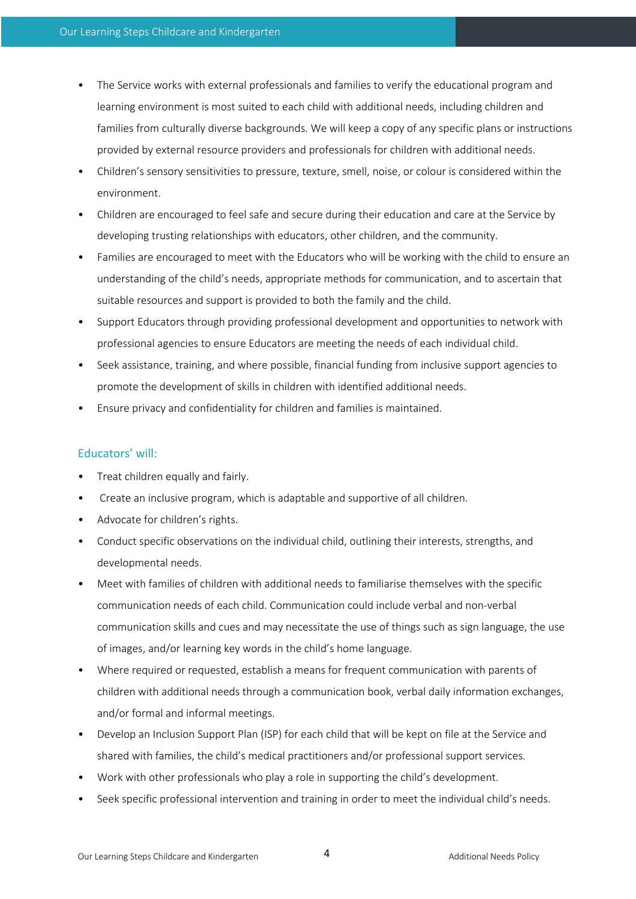- The Service works with external professionals and families to verify the educational program and learning environment is most suited to each child with additional needs, including children and families from culturally diverse backgrounds. We will keep a copy of any specific plans or instructions provided by external resource providers and professionals for children with additional needs.
- Children's sensory sensitivities to pressure, texture, smell, noise, or colour is considered within the environment.
- Children are encouraged to feel safe and secure during their education and care at the Service by developing trusting relationships with educators, other children, and the community.
- Families are encouraged to meet with the Educators who will be working with the child to ensure an understanding of the child's needs, appropriate methods for communication, and to ascertain that suitable resources and support is provided to both the family and the child.
- Support Educators through providing professional development and opportunities to network with professional agencies to ensure Educators are meeting the needs of each individual child.
- Seek assistance, training, and where possible, financial funding from inclusive support agencies to promote the development of skills in children with identified additional needs.
- Ensure privacy and confidentiality for children and families is maintained.

# Educators' will:

- Treat children equally and fairly.
- Create an inclusive program, which is adaptable and supportive of all children.
- Advocate for children's rights.
- Conduct specific observations on the individual child, outlining their interests, strengths, and developmental needs.
- Meet with families of children with additional needs to familiarise themselves with the specific communication needs of each child. Communication could include verbal and non-verbal communication skills and cues and may necessitate the use of things such as sign language, the use of images, and/or learning key words in the child's home language.
- Where required or requested, establish a means for frequent communication with parents of children with additional needs through a communication book, verbal daily information exchanges, and/or formal and informal meetings.
- Develop an Inclusion Support Plan (ISP) for each child that will be kept on file at the Service and shared with families, the child's medical practitioners and/or professional support services.
- Work with other professionals who play a role in supporting the child's development.
- Seek specific professional intervention and training in order to meet the individual child's needs.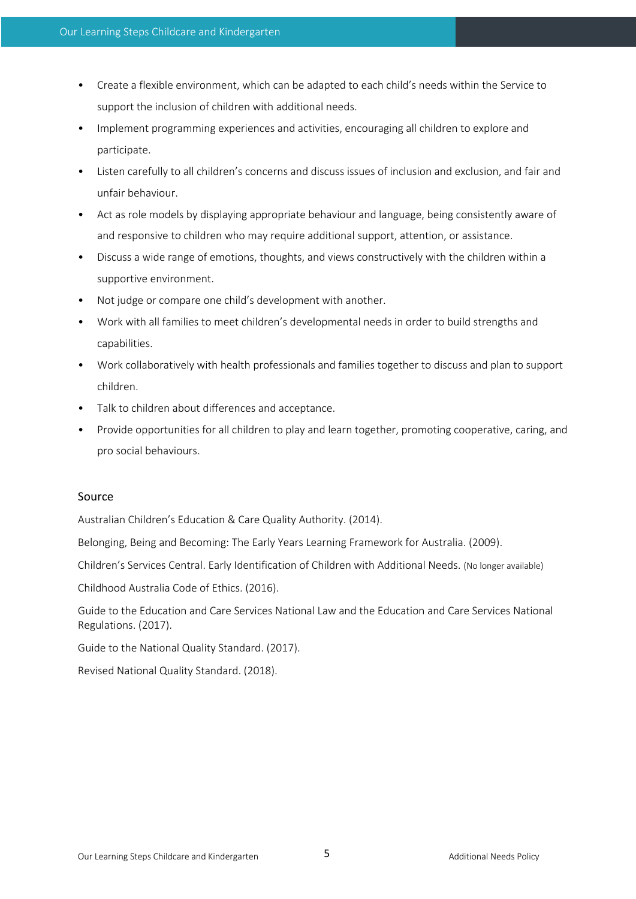- Create a flexible environment, which can be adapted to each child's needs within the Service to support the inclusion of children with additional needs.
- Implement programming experiences and activities, encouraging all children to explore and participate.
- Listen carefully to all children's concerns and discuss issues of inclusion and exclusion, and fair and unfair behaviour.
- Act as role models by displaying appropriate behaviour and language, being consistently aware of and responsive to children who may require additional support, attention, or assistance.
- Discuss a wide range of emotions, thoughts, and views constructively with the children within a supportive environment.
- Not judge or compare one child's development with another.
- Work with all families to meet children's developmental needs in order to build strengths and capabilities.
- Work collaboratively with health professionals and families together to discuss and plan to support children.
- Talk to children about differences and acceptance.
- Provide opportunities for all children to play and learn together, promoting cooperative, caring, and pro social behaviours.

### Source

Australian Children's Education & Care Quality Authority. (2014).

Belonging, Being and Becoming: The Early Years Learning Framework for Australia. (2009).

Children's Services Central. Early Identification of Children with Additional Needs. (No longer available)

Childhood Australia Code of Ethics. (2016).

Guide to the Education and Care Services National Law and the Education and Care Services National Regulations. (2017).

Guide to the National Quality Standard. (2017).

Revised National Quality Standard. (2018).